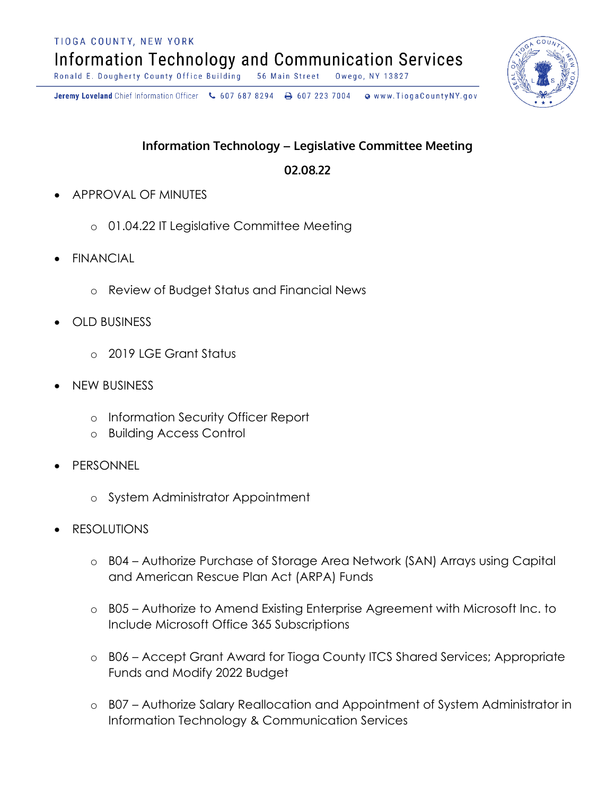TIOGA COUNTY, NEW YORK

**Information Technology and Communication Services** 

Ronald E. Dougherty County Office Building 56 Main Street Owego, NY 13827

Jeremy Loveland Chief Information Officer \607 687 8294 \ + 607 223 7004 o www.TiogaCountyNY.gov

## **Information Technology - Legislative Committee Meeting**

## **89:8;:99**

- APPROVAL OF MINUTES
	- o 01.04.22 IT Legislative Committee Meeting
- **FINANCIAL** 
	- o Review of Budget Status and Financial News
- OLD BUSINESS
	- o 2019 LGE Grant Status
- NEW BUSINESS
	- o Information Security Officer Report
	- o Building Access Control
- PERSONNEL
	- o System Administrator Appointment
- **RESOLUTIONS** 
	- o B04 Authorize Purchase of Storage Area Network (SAN) Arrays using Capital and American Rescue Plan Act (ARPA) Funds
	- o B05 Authorize to Amend Existing Enterprise Agreement with Microsoft Inc. to Include Microsoft Office 365 Subscriptions
	- o B06 Accept Grant Award for Tioga County ITCS Shared Services; Appropriate Funds and Modify 2022 Budget
	- o B07 Authorize Salary Reallocation and Appointment of System Administrator in Information Technology & Communication Services

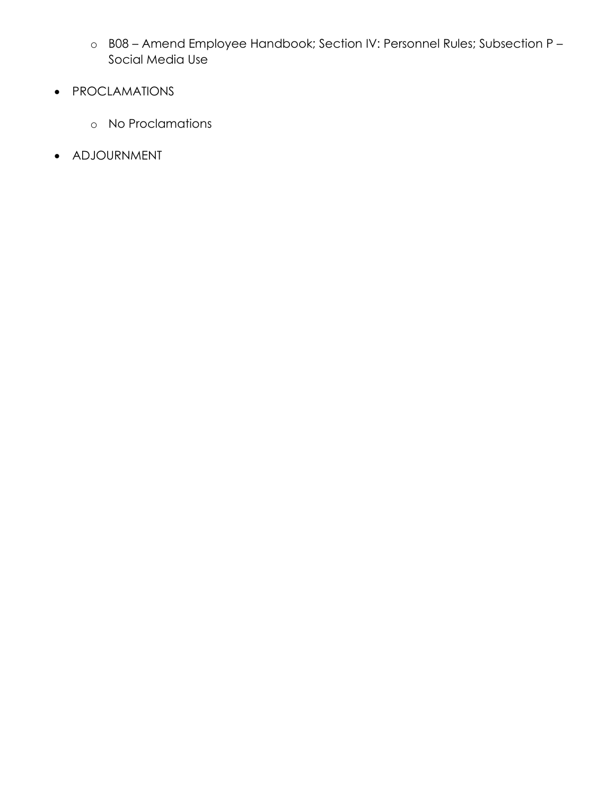- o B08 Amend Employee Handbook; Section IV: Personnel Rules; Subsection P Social Media Use
- PROCLAMATIONS
	- o No Proclamations
- ADJOURNMENT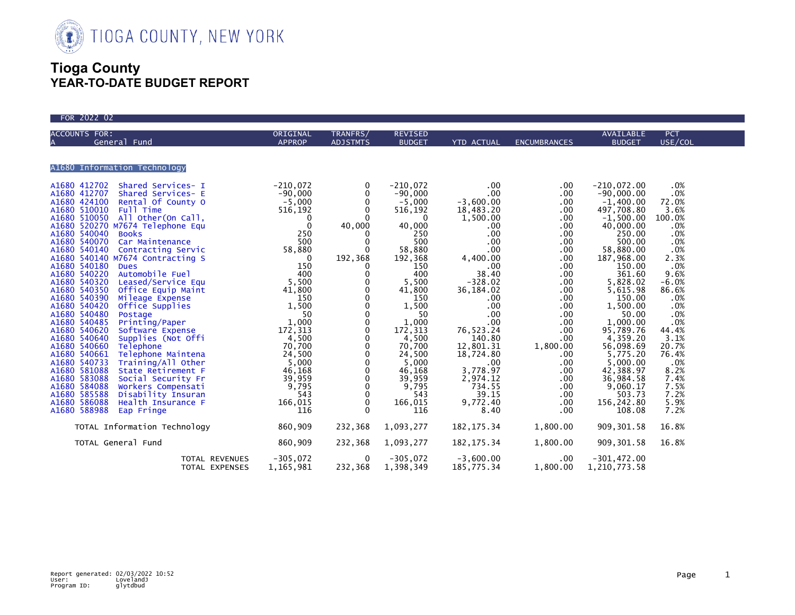

| FOR 2022 02                                        |                           |                                                                                                                                                                                                                                                                                                                                                                                                                                         |                                                                                                                                                                                                                                                                                                                                        |                                                                                                                                                                                                                                                                                                                                                         |                                                                                                                                                                                                                                                                                                                   |                                                                                                                                                                                                                                                                                                                                                                                                  |                                                                                                                                                                                                                                                        |  |
|----------------------------------------------------|---------------------------|-----------------------------------------------------------------------------------------------------------------------------------------------------------------------------------------------------------------------------------------------------------------------------------------------------------------------------------------------------------------------------------------------------------------------------------------|----------------------------------------------------------------------------------------------------------------------------------------------------------------------------------------------------------------------------------------------------------------------------------------------------------------------------------------|---------------------------------------------------------------------------------------------------------------------------------------------------------------------------------------------------------------------------------------------------------------------------------------------------------------------------------------------------------|-------------------------------------------------------------------------------------------------------------------------------------------------------------------------------------------------------------------------------------------------------------------------------------------------------------------|--------------------------------------------------------------------------------------------------------------------------------------------------------------------------------------------------------------------------------------------------------------------------------------------------------------------------------------------------------------------------------------------------|--------------------------------------------------------------------------------------------------------------------------------------------------------------------------------------------------------------------------------------------------------|--|
| <b>ACCOUNTS FOR:</b><br>General Fund               | ORIGINAL<br><b>APPROP</b> | TRANFRS/<br><b>ADJSTMTS</b>                                                                                                                                                                                                                                                                                                                                                                                                             | <b>REVISED</b><br><b>BUDGET</b>                                                                                                                                                                                                                                                                                                        | YTD ACTUAL                                                                                                                                                                                                                                                                                                                                              | <b>ENCUMBRANCES</b>                                                                                                                                                                                                                                                                                               | <b>AVAILABLE</b><br><b>BUDGET</b>                                                                                                                                                                                                                                                                                                                                                                | <b>PCT</b><br>USE/COL                                                                                                                                                                                                                                  |  |
| A1680 Information Technology                       |                           |                                                                                                                                                                                                                                                                                                                                                                                                                                         |                                                                                                                                                                                                                                                                                                                                        |                                                                                                                                                                                                                                                                                                                                                         |                                                                                                                                                                                                                                                                                                                   |                                                                                                                                                                                                                                                                                                                                                                                                  |                                                                                                                                                                                                                                                        |  |
| TOTAL Information Technology<br>TOTAL General Fund | 860,909<br>860,909        | 0<br>$\mathbf{0}$<br>$\Omega$<br>$\mathbf 0$<br>$\mathbf 0$<br>40,000<br>$\mathbf{0}$<br>$\Omega$<br>$\Omega$<br>192,368<br>$\Omega$<br>$\mathbf{0}$<br>0<br>0<br>$\mathbf 0$<br>$\mathbf 0$<br>$\mathbf 0$<br>$\mathbf 0$<br>$\mathbf{0}$<br>$\mathbf 0$<br>$\mathbf 0$<br>$\mathbf{0}$<br>$\mathbf 0$<br>$\mathbf{0}$<br>$\mathbf{0}$<br>$\mathbf 0$<br>$\mathbf{0}$<br>$\Omega$<br>$\mathbf 0$<br>232,368<br>232,368<br>$\mathbf{0}$ | $-210,072$<br>$-90,000$<br>$-5,000$<br>516, 192<br>$\Omega$<br>40,000<br>250<br>500<br>58,880<br>192,368<br>150<br>400<br>5,500<br>41,800<br>150<br>1,500<br>50<br>1,000<br>172,313<br>$\frac{1}{4}$ , 500<br>70, 700<br>24,500<br>5,000<br>46,168<br>39,959<br>9,795<br>543<br>166,015<br>116<br>1,093,277<br>1,093,277<br>$-305,072$ | .00<br>.00<br>$-3,600.00$<br>$18,483.20$<br>$1,500.00$<br>$.00 \,$<br>$.00 \,$<br>.00<br>$.00 \,$<br>4,400.00<br>.00<br>38.40<br>$-328.02$<br>36,184.02<br>$.00 \,$<br>.00<br>.00<br>$.00 \,$<br>76, 523.24<br>140.80<br>12,801.31<br>18,724.80<br>$.00 \,$<br>3,778.97<br>2,974.12<br>734.55<br>39.15<br>9,772.40<br>8.40<br>182, 175.34<br>182,175.34 | $.00 \,$<br>$.00 \,$<br>.00<br>.00<br>.00<br>.00<br>.00<br>$.00 \,$<br>$.00 \,$<br>.00<br>.00.<br>.00<br>.00<br>.00<br>.00<br>.00<br>$.00 \,$<br>$\begin{array}{r} .00\ 0.00\ .00\ 0.00\ 0.00\ \end{array}$<br>.00<br>.00<br>.00<br>.00<br>.00<br>$.00 \,$<br>$.00 \,$<br>.00<br>1,800.00<br>1,800.00<br>$.00 \,$ | $-210,072.00$<br>$-90,000.00$<br>$-1,400.00$<br>497,708.80<br>$-1,500.00$<br>40,000.00<br>250.00<br>500.00<br>58,880.00<br>187,968.00<br>150.00<br>361.60<br>5,828.02<br>5,615.98<br>150.00<br>1,500.00<br>50.00<br>1,000.00<br>95,789.76<br>4,359.20<br>56,098.69<br>5,775.20<br>5,000.00<br>42,388.97<br>36,984.58<br>9,060.17<br>503.73<br>156,242.80<br>108.08<br>909, 301.58<br>909, 301.58 | .0%<br>.0%<br>72.0%<br>3.6%<br>100.0%<br>.0%<br>.0%<br>.0%<br>.0%<br>2.3%<br>.0%<br>9.6%<br>$-6.0%$<br>86.6%<br>.0%<br>.0%<br>.0%<br>.0%<br>44.4%<br>3.1%<br>20.7%<br>76.4%<br>.0%<br>8.2%<br>7.4%<br>7.5%<br>7.2%<br>$5.9%$<br>7.2%<br>16.8%<br>16.8% |  |
| TOTAL REVENUES<br>TOTAL EXPENSES                   | $-305,072$<br>1,165,981   | 232,368                                                                                                                                                                                                                                                                                                                                                                                                                                 | 1,398,349                                                                                                                                                                                                                                                                                                                              | $-3,600.00$<br>185,775.34                                                                                                                                                                                                                                                                                                                               | 1,800.00                                                                                                                                                                                                                                                                                                          | $-301,472.00$<br>1,210,773.58                                                                                                                                                                                                                                                                                                                                                                    |                                                                                                                                                                                                                                                        |  |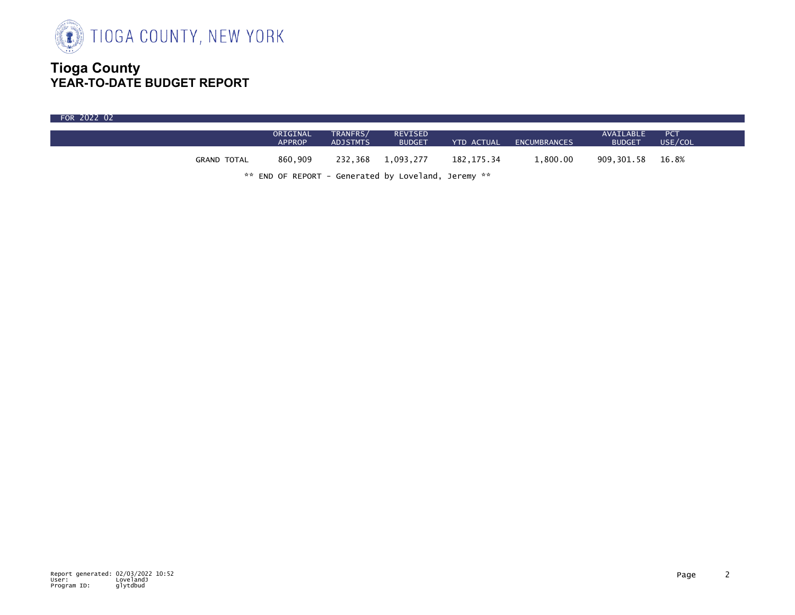

| FOR 2022 02 |             |                           |                      |                                                     |            |                         |                            |                       |
|-------------|-------------|---------------------------|----------------------|-----------------------------------------------------|------------|-------------------------|----------------------------|-----------------------|
|             |             | ORIGINAL<br><b>APPROP</b> | TRANFRS/<br>ADJSTMTS | <b>REVISED</b><br><b>BUDGET</b>                     |            | YTD ACTUAL ENCUMBRANCES | AVAILABLE<br><b>BUDGET</b> | <b>PCT</b><br>USE/COL |
|             | GRAND TOTAL | 860.909                   |                      | 232,368 1,093,277                                   | 182.175.34 | 1.800.00                | 909,301.58 16.8%           |                       |
|             |             |                           |                      | ** END OF REPORT - Generated by Loveland, Jeremy ** |            |                         |                            |                       |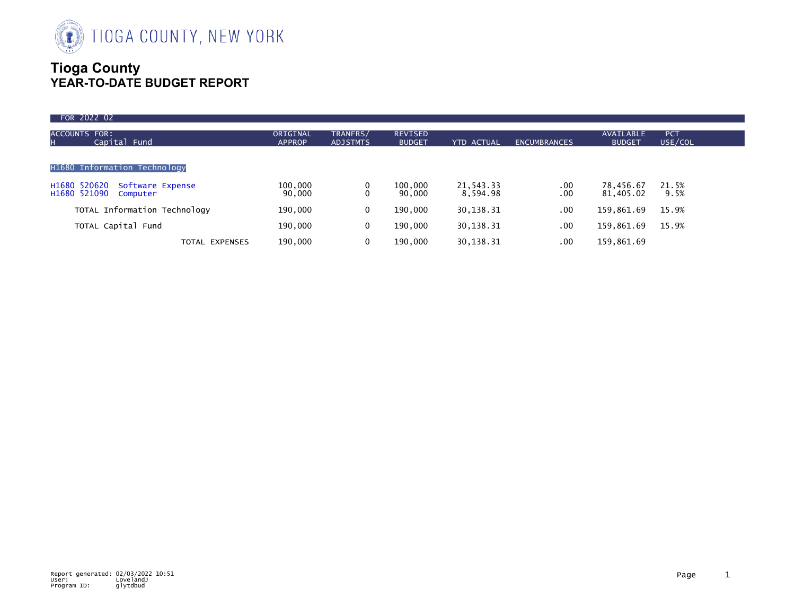

| FOR 2022 02                                                  |                           |                             |                                 |                       |                                           |                            |                       |
|--------------------------------------------------------------|---------------------------|-----------------------------|---------------------------------|-----------------------|-------------------------------------------|----------------------------|-----------------------|
| <b>ACCOUNTS FOR:</b><br>Capital Fund<br>н                    | ORIGINAL<br><b>APPROP</b> | TRANFRS/<br><b>ADJSTMTS</b> | <b>REVISED</b><br><b>BUDGET</b> | <b>YTD ACTUAL</b>     | <b>ENCUMBRANCES</b>                       | AVAILABLE<br><b>BUDGET</b> | <b>PCT</b><br>USE/COL |
| H1680 Information Technology                                 |                           |                             |                                 |                       |                                           |                            |                       |
| H1680 520620<br>Software Expense<br>H1680 521090<br>Computer | 100,000<br>90,000         |                             | 100,000<br>90,000               | 21,543.33<br>8,594.98 | $\begin{array}{c} .00 \\ .00 \end{array}$ | 78,456.67<br>81,405.02     | 21.5%<br>9.5%         |
| TOTAL Information Technology                                 | 190,000                   | 0                           | 190,000                         | 30, 138. 31           | .00                                       | 159,861.69                 | 15.9%                 |
| TOTAL Capital Fund                                           | 190,000                   | 0                           | 190,000                         | 30, 138. 31           | .00                                       | 159,861.69                 | 15.9%                 |
| <b>TOTAL EXPENSES</b>                                        | 190,000                   | 0                           | 190,000                         | 30, 138. 31           | $.00 \times$                              | 159,861.69                 |                       |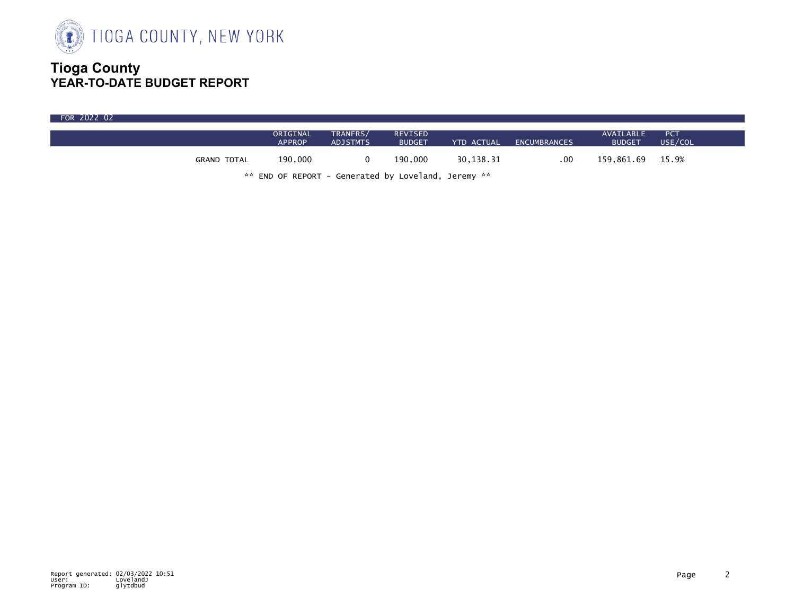

| FOR 2022 02 |                    |                           |                             |                                 |            |              |                            |                       |  |
|-------------|--------------------|---------------------------|-----------------------------|---------------------------------|------------|--------------|----------------------------|-----------------------|--|
|             |                    | ORIGINAL<br><b>APPROP</b> | TRANFRS/<br><b>ADJSTMTS</b> | <b>REVISED</b><br><b>BUDGET</b> | YTD ACTUAL | ENCUMBRANCES | AVAILABLE<br><b>BUDGET</b> | <b>PCT</b><br>USE/COL |  |
|             | <b>GRAND TOTAL</b> | 190,000                   |                             | 190.000                         | 30,138.31  | .00          | 159,861.69 15.9%           |                       |  |

\*\* END OF REPORT - Generated by Loveland, Jeremy \*\*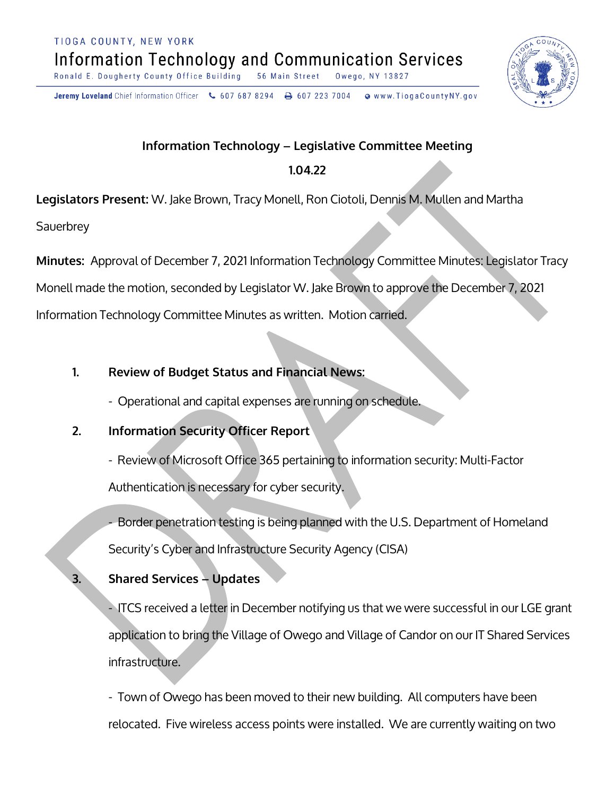TIOGA COUNTY, NEW YORK **Information Technology and Communication Services** 

Ronald E. Dougherty County Office Building 56 Main Street Owego, NY

Jeremy Loveland Chief Information Officer \607 687 8294 \ + 607 223 7004 o www.TiogaCountyNY.gov

## **Information Technology - Legislative Committee Meeting**

## **1.04.22**

**Legislators Present:** W. Jake Brown, Tracy Monell, Ron Ciotoli, Dennis M. Mullen and Martha

**Sauerbrey** 

Minutes: Approval of December 7, 2021 Information Technology Committee Minutes: Legislator Tracy

Monell made the motion, seconded by Legislator W. Jake Brown to approve the December 7, 2021

Information Technology Committee Minutes as written. Motion carried.

# **1. Braueu Status and Financial News:**

- Operational and capital expenses are running on schedule.

# **2.** Information Security Officer Report

- Review of Microsoft Office 365 pertaining to information security: Multi-Factor Authentication is necessary for cyber security.

- Border penetration testing is being planned with the U.S. Department of Homeland Security's Cyber and Infrastructure Security Agency (CISA)

# **Shared Services - Updates**

- ITCS received a letter in December notifying us that we were successful in our LGE grant application to bring the Village of Owego and Village of Candor on our IT Shared Services infrastructure.

- Town of Owego has been moved to their new building. All computers have been relocated. Five wireless access points were installed. We are currently waiting on two

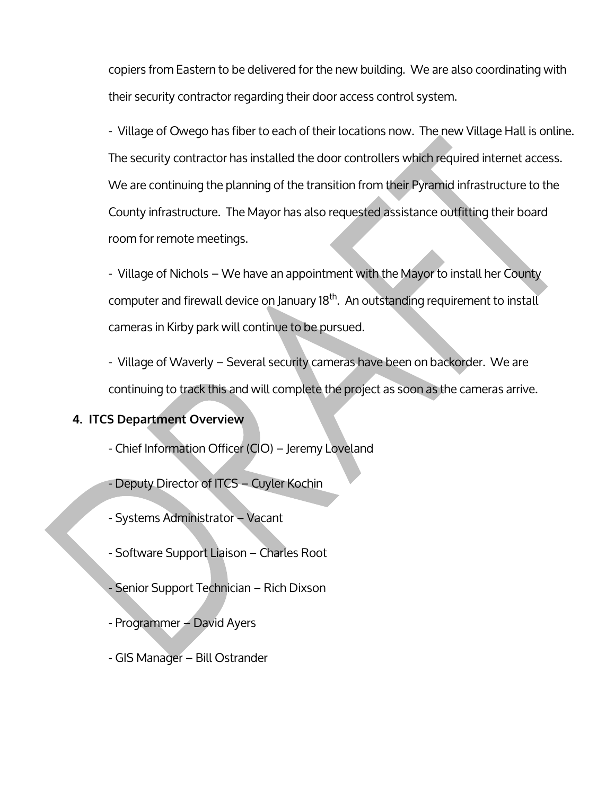copiers from Eastern to be delivered for the new building. We are also coordinating with their security contractor regarding their door access control system.

- Village of Owego has fiber to each of their locations now. The new Village Hall is online. The security contractor has installed the door controllers which required internet access. We are continuing the planning of the transition from their Pyramid infrastructure to the County infrastructure. The Mayor has also requested assistance outfitting their board room for remote meetings.

- Village of Nichols – We have an appointment with the Mayor to install her County computer and firewall device on January 18<sup>th</sup>. An outstanding requirement to install cameras in Kirby park will continue to be pursued.

- Village of Waverly – Several security cameras have been on backorder. We are continuing to track this and will complete the project as soon as the cameras arrive.

#### **4. ITCS Department Overview**

- Chief Information Officer (CIO) Jeremy Loveland
- Deputy Director of ITCS Cuyler Kochin
- Systems Administrator Vacant
- Software Support Liaison Charles Root
- Senior Support Technician Rich Dixson
- Programmer David Ayers
- GIS Manager Bill Ostrander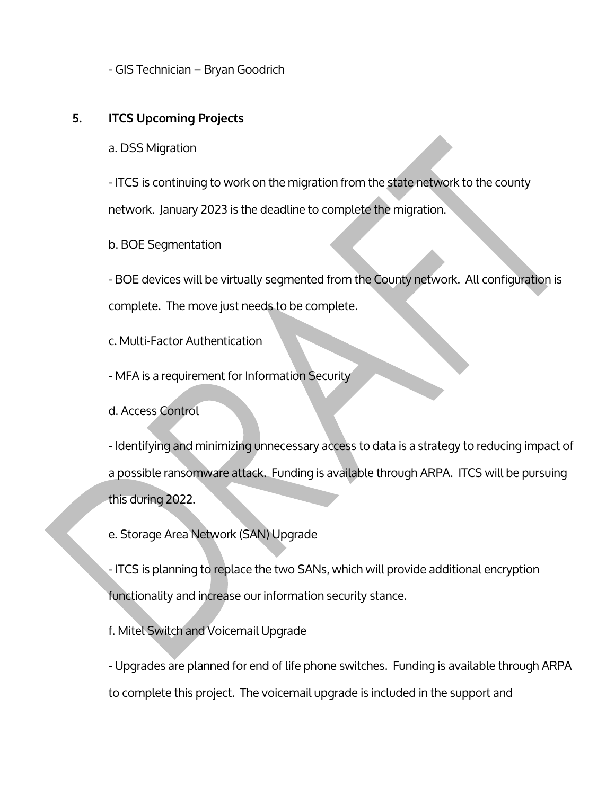- GIS Technician – Bryan Goodrich

#### **5. ITCS Upcoming Projects**

a. DSS Migration

- ITCS is continuing to work on the migration from the state network to the county network. January 2023 is the deadline to complete the migration.

b. BOE Segmentation

- BOE devices will be virtually segmented from the County network. All configuration is complete. The move just needs to be complete.

c. Multi-Factor Authentication

- MFA is a requirement for Information Security
- d. Access Control

- Identifying and minimizing unnecessary access to data is a strategy to reducing impact of a possible ransomware attack. Funding is available through ARPA. ITCS will be pursuing this during 2022.

e. Storage Area Network (SAN) Upgrade

- ITCS is planning to replace the two SANs, which will provide additional encryption functionality and increase our information security stance.

f. Mitel Switch and Voicemail Upgrade

- Upgrades are planned for end of life phone switches. Funding is available through ARPA to complete this project. The voicemail upgrade is included in the support and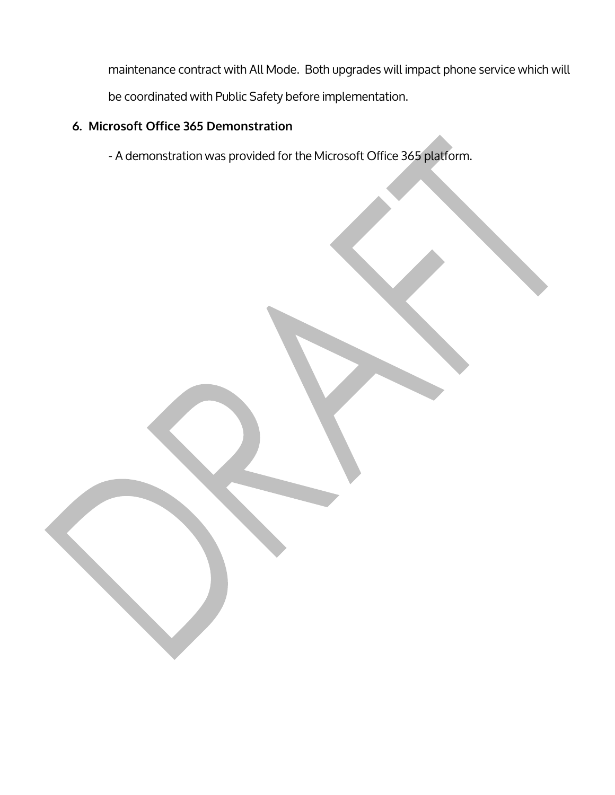maintenance contract with All Mode. Both upgrades will impact phone service which will be coordinated with Public Safety before implementation.

## 6. Microsoft Office 365 Demonstration

- A demonstration was provided for the Microsoft Office 365 platform.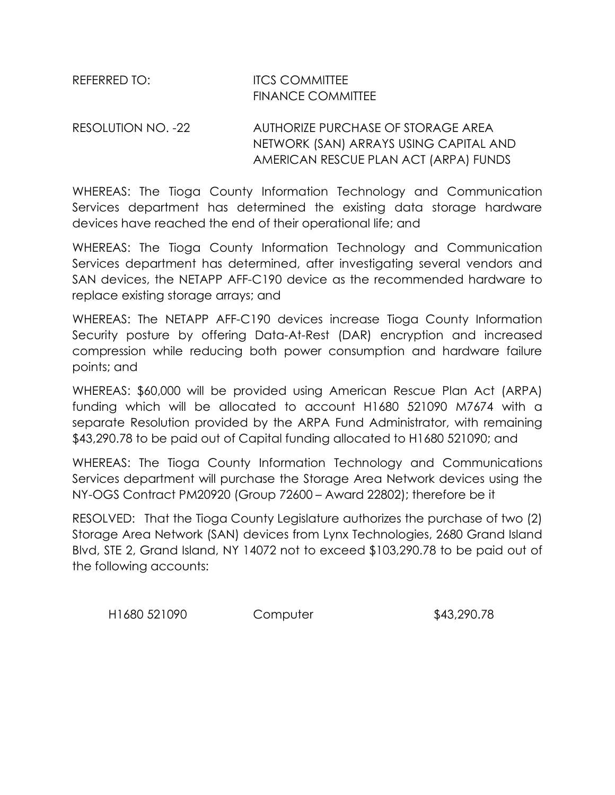## REFERRED TO: ITCS COMMITTEE FINANCE COMMITTEE

## RESOLUTION NO. -22 AUTHORIZE PURCHASE OF STORAGE AREA NETWORK (SAN) ARRAYS USING CAPITAL AND AMERICAN RESCUE PLAN ACT (ARPA) FUNDS

WHEREAS: The Tioga County Information Technology and Communication Services department has determined the existing data storage hardware devices have reached the end of their operational life; and

WHEREAS: The Tioga County Information Technology and Communication Services department has determined, after investigating several vendors and SAN devices, the NETAPP AFF-C190 device as the recommended hardware to replace existing storage arrays; and

WHEREAS: The NETAPP AFF-C190 devices increase Tioga County Information Security posture by offering Data-At-Rest (DAR) encryption and increased compression while reducing both power consumption and hardware failure points; and

WHEREAS: \$60,000 will be provided using American Rescue Plan Act (ARPA) funding which will be allocated to account H1680 521090 M7674 with a separate Resolution provided by the ARPA Fund Administrator, with remaining \$43,290.78 to be paid out of Capital funding allocated to H1680 521090; and

WHEREAS: The Tioga County Information Technology and Communications Services department will purchase the Storage Area Network devices using the NY-OGS Contract PM20920 (Group 72600 – Award 22802); therefore be it

RESOLVED: That the Tioga County Legislature authorizes the purchase of two (2) Storage Area Network (SAN) devices from Lynx Technologies, 2680 Grand Island Blvd, STE 2, Grand Island, NY 14072 not to exceed \$103,290.78 to be paid out of the following accounts:

H1680 521090 Computer \$43,290.78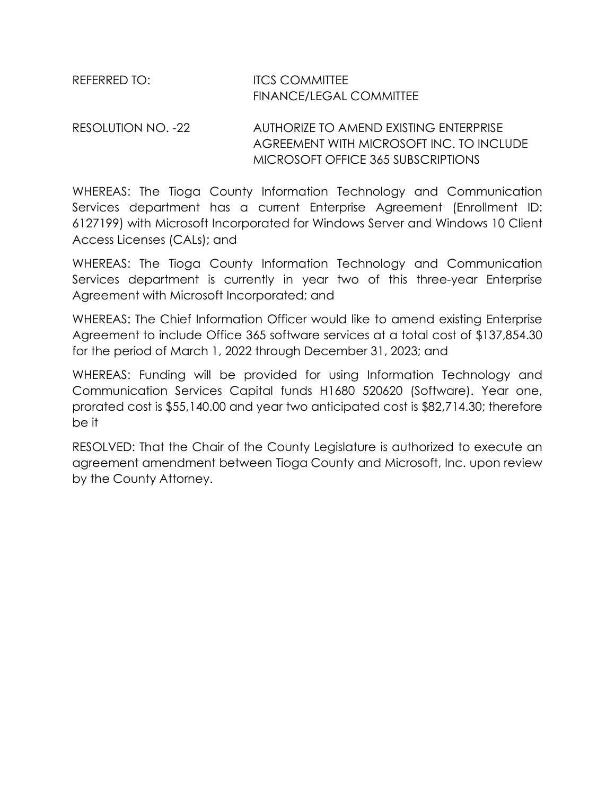| REFERRED TO: | <b>ITCS COMMITTEE</b>          |
|--------------|--------------------------------|
|              | <b>FINANCE/LEGAL COMMITTEE</b> |

#### RESOLUTION NO. -22 AUTHORIZE TO AMEND EXISTING ENTERPRISE AGREEMENT WITH MICROSOFT INC. TO INCLUDE MICROSOFT OFFICE 365 SUBSCRIPTIONS

WHEREAS: The Tioga County Information Technology and Communication Services department has a current Enterprise Agreement (Enrollment ID: 6127199) with Microsoft Incorporated for Windows Server and Windows 10 Client Access Licenses (CALs); and

WHEREAS: The Tioga County Information Technology and Communication Services department is currently in year two of this three-year Enterprise Agreement with Microsoft Incorporated; and

WHEREAS: The Chief Information Officer would like to amend existing Enterprise Agreement to include Office 365 software services at a total cost of \$137,854.30 for the period of March 1, 2022 through December 31, 2023; and

WHEREAS: Funding will be provided for using Information Technology and Communication Services Capital funds H1680 520620 (Software). Year one, prorated cost is \$55,140.00 and year two anticipated cost is \$82,714.30; therefore be it

RESOLVED: That the Chair of the County Legislature is authorized to execute an agreement amendment between Tioga County and Microsoft, Inc. upon review by the County Attorney.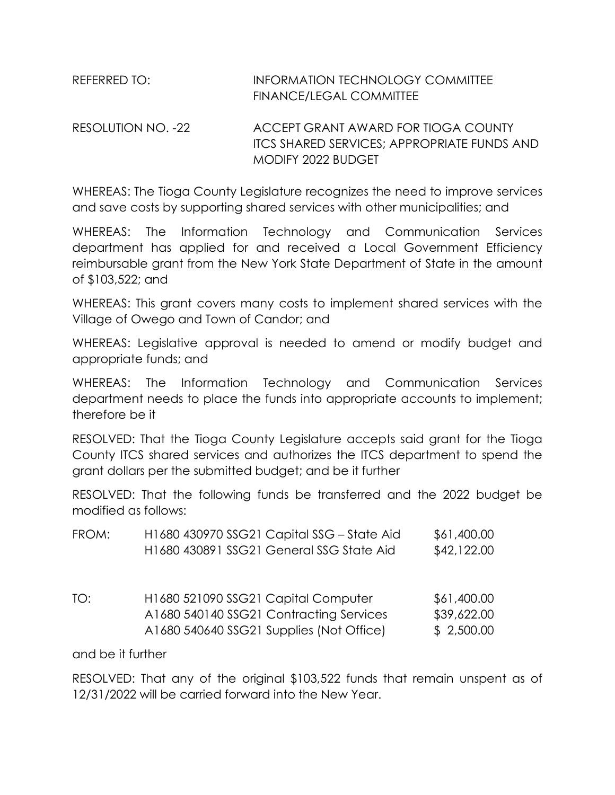| REFERRED TO: I          | <b>INFORMATION TECHNOLOGY COMMITTEE</b> |
|-------------------------|-----------------------------------------|
|                         | <b>FINANCE/LEGAL COMMITTEE</b>          |
| מפי הוז וזה הרוווה הספח | ACCEPT CRANIT AWARD EOR TIOCA COUNTY    |

RESOLUTION NO. -22 ACCEPT GRANT AWARD FOR TIOGA COUNTY ITCS SHARED SERVICES; APPROPRIATE FUNDS AND MODIFY 2022 BUDGET

WHEREAS: The Tioga County Legislature recognizes the need to improve services and save costs by supporting shared services with other municipalities; and

WHEREAS: The Information Technology and Communication Services department has applied for and received a Local Government Efficiency reimbursable grant from the New York State Department of State in the amount of \$103,522; and

WHEREAS: This grant covers many costs to implement shared services with the Village of Owego and Town of Candor; and

WHEREAS: Legislative approval is needed to amend or modify budget and appropriate funds; and

WHEREAS: The Information Technology and Communication Services department needs to place the funds into appropriate accounts to implement; therefore be it

RESOLVED: That the Tioga County Legislature accepts said grant for the Tioga County ITCS shared services and authorizes the ITCS department to spend the grant dollars per the submitted budget; and be it further

RESOLVED: That the following funds be transferred and the 2022 budget be modified as follows:

| FROM: | H1680 430970 SSG21 Capital SSG - State Aid<br>H1680 430891 SSG21 General SSG State Aid                                     | \$61,400.00<br>\$42,122.00               |
|-------|----------------------------------------------------------------------------------------------------------------------------|------------------------------------------|
| TO:   | H1680 521090 SSG21 Capital Computer<br>A1680 540140 SSG21 Contracting Services<br>A1680 540640 SSG21 Supplies (Not Office) | \$61,400.00<br>\$39,622.00<br>\$2,500.00 |

and be it further

RESOLVED: That any of the original \$103,522 funds that remain unspent as of 12/31/2022 will be carried forward into the New Year.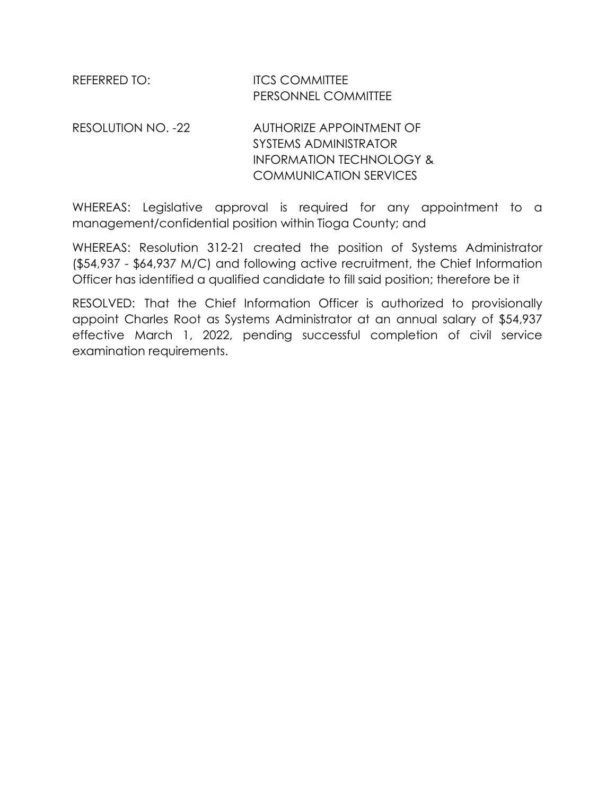| REFERRED TO: | <b>ITCS COMMITTEE</b>      |
|--------------|----------------------------|
|              | <b>PERSONNEL COMMITTEE</b> |
|              |                            |

RESOLUTION NO. -22 AUTHORIZE APPOINTMENT OF SYSTEMS ADMINISTRATOR INFORMATION TECHNOLOGY & COMMUNICATION SERVICES

WHEREAS: Legislative approval is required for any appointment to a management/confidential position within Tioga County; and

WHEREAS: Resolution 312-21 created the position of Systems Administrator (\$54,937 - \$64,937 M/C) and following active recruitment, the Chief Information Officer has identified a qualified candidate to fill said position; therefore be it

RESOLVED: That the Chief Information Officer is authorized to provisionally appoint Charles Root as Systems Administrator at an annual salary of \$54,937 effective March 1, 2022, pending successful completion of civil service examination requirements.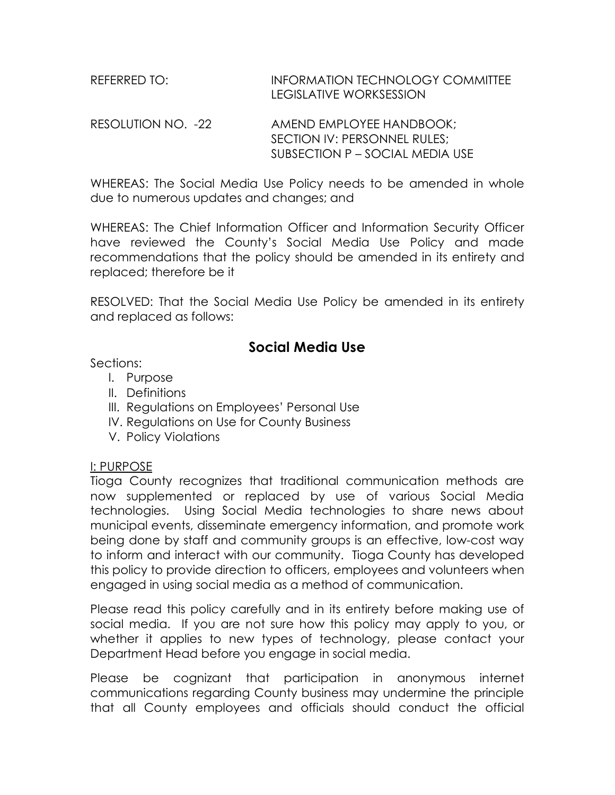| REFERRED TO: | INFORMATION TECHNOLOGY COMMITTEE |
|--------------|----------------------------------|
|              | LEGISLATIVE WORKSESSION          |

RESOLUTION NO. -22 AMEND EMPLOYEE HANDBOOK; SECTION IV: PERSONNEL RULES; SUBSECTION P – SOCIAL MEDIA USE

WHEREAS: The Social Media Use Policy needs to be amended in whole due to numerous updates and changes; and

WHEREAS: The Chief Information Officer and Information Security Officer have reviewed the County's Social Media Use Policy and made recommendations that the policy should be amended in its entirety and replaced; therefore be it

RESOLVED: That the Social Media Use Policy be amended in its entirety and replaced as follows:

# **Social Media Use**

Sections:

- I. Purpose
- II. Definitions
- III. Regulations on Employees' Personal Use
- IV. Regulations on Use for County Business
- V. Policy Violations

#### I: PURPOSE

Tioga County recognizes that traditional communication methods are now supplemented or replaced by use of various Social Media technologies. Using Social Media technologies to share news about municipal events, disseminate emergency information, and promote work being done by staff and community groups is an effective, low-cost way to inform and interact with our community. Tioga County has developed this policy to provide direction to officers, employees and volunteers when engaged in using social media as a method of communication.

Please read this policy carefully and in its entirety before making use of social media. If you are not sure how this policy may apply to you, or whether it applies to new types of technology, please contact your Department Head before you engage in social media.

Please be cognizant that participation in anonymous internet communications regarding County business may undermine the principle that all County employees and officials should conduct the official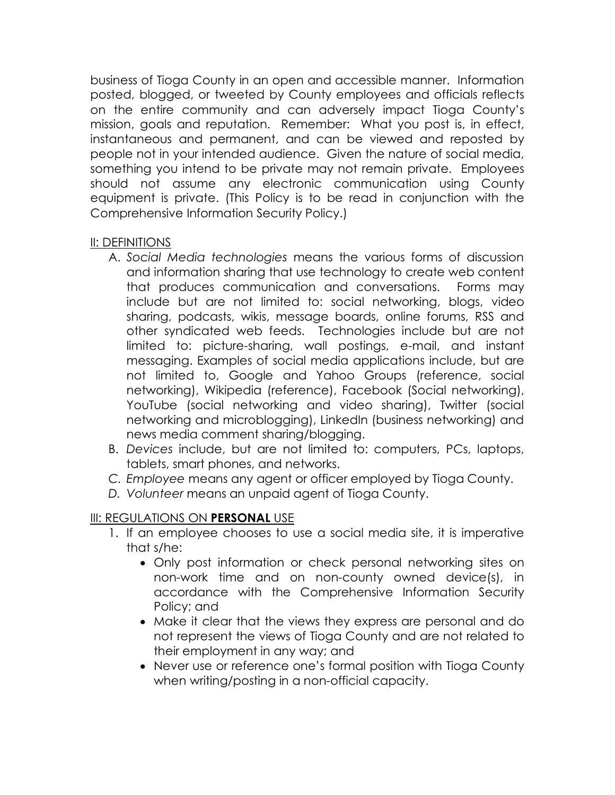business of Tioga County in an open and accessible manner. Information posted, blogged, or tweeted by County employees and officials reflects on the entire community and can adversely impact Tioga County's mission, goals and reputation. Remember: What you post is, in effect, instantaneous and permanent, and can be viewed and reposted by people not in your intended audience. Given the nature of social media, something you intend to be private may not remain private. Employees should not assume any electronic communication using County equipment is private. (This Policy is to be read in conjunction with the Comprehensive Information Security Policy.)

#### II: DEFINITIONS

- A. *Social Media technologies* means the various forms of discussion and information sharing that use technology to create web content that produces communication and conversations. Forms may include but are not limited to: social networking, blogs, video sharing, podcasts, wikis, message boards, online forums, RSS and other syndicated web feeds. Technologies include but are not limited to: picture-sharing, wall postings, e-mail, and instant messaging. Examples of social media applications include, but are not limited to, Google and Yahoo Groups (reference, social networking), Wikipedia (reference), Facebook (Social networking), YouTube (social networking and video sharing), Twitter (social networking and microblogging), LinkedIn (business networking) and news media comment sharing/blogging.
- B. *Devices* include, but are not limited to: computers, PCs, laptops, tablets, smart phones, and networks.
- *C. Employee* means any agent or officer employed by Tioga County.
- *D. Volunteer* means an unpaid agent of Tioga County.

#### III: REGULATIONS ON **PERSONAL** USE

- 1. If an employee chooses to use a social media site, it is imperative that s/he:
	- Only post information or check personal networking sites on non-work time and on non-county owned device(s), in accordance with the Comprehensive Information Security Policy; and
	- Make it clear that the views they express are personal and do not represent the views of Tioga County and are not related to their employment in any way; and
	- Never use or reference one's formal position with Tioga County when writing/posting in a non-official capacity.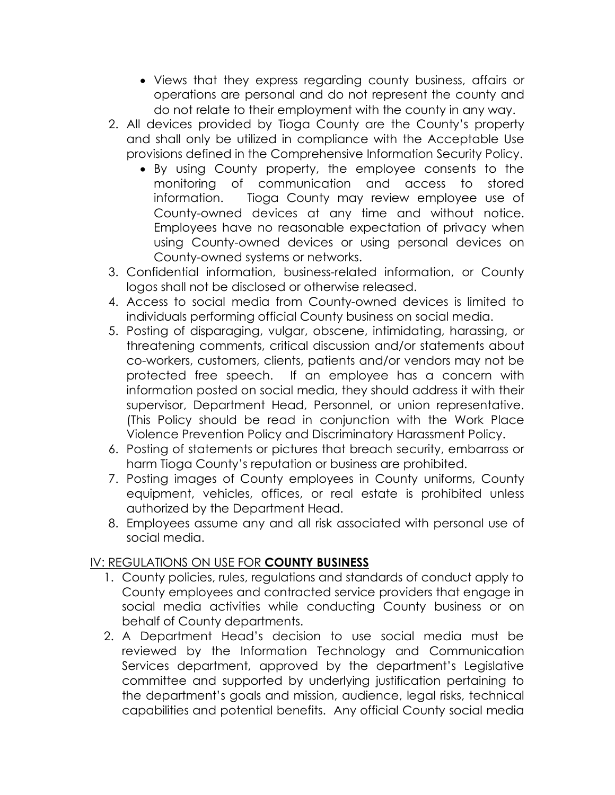- Views that they express regarding county business, affairs or operations are personal and do not represent the county and do not relate to their employment with the county in any way.
- 2. All devices provided by Tioga County are the County's property and shall only be utilized in compliance with the Acceptable Use provisions defined in the Comprehensive Information Security Policy.
	- By using County property, the employee consents to the monitoring of communication and access to stored information. Tioga County may review employee use of County-owned devices at any time and without notice. Employees have no reasonable expectation of privacy when using County-owned devices or using personal devices on County-owned systems or networks.
- 3. Confidential information, business-related information, or County logos shall not be disclosed or otherwise released.
- 4. Access to social media from County-owned devices is limited to individuals performing official County business on social media.
- 5. Posting of disparaging, vulgar, obscene, intimidating, harassing, or threatening comments, critical discussion and/or statements about co-workers, customers, clients, patients and/or vendors may not be protected free speech. If an employee has a concern with information posted on social media, they should address it with their supervisor, Department Head, Personnel, or union representative. (This Policy should be read in conjunction with the Work Place Violence Prevention Policy and Discriminatory Harassment Policy.
- 6. Posting of statements or pictures that breach security, embarrass or harm Tioga County's reputation or business are prohibited.
- 7. Posting images of County employees in County uniforms, County equipment, vehicles, offices, or real estate is prohibited unless authorized by the Department Head.
- 8. Employees assume any and all risk associated with personal use of social media.

## IV: REGULATIONS ON USE FOR **COUNTY BUSINESS**

- 1. County policies, rules, regulations and standards of conduct apply to County employees and contracted service providers that engage in social media activities while conducting County business or on behalf of County departments.
- 2. A Department Head's decision to use social media must be reviewed by the Information Technology and Communication Services department, approved by the department's Legislative committee and supported by underlying justification pertaining to the department's goals and mission, audience, legal risks, technical capabilities and potential benefits. Any official County social media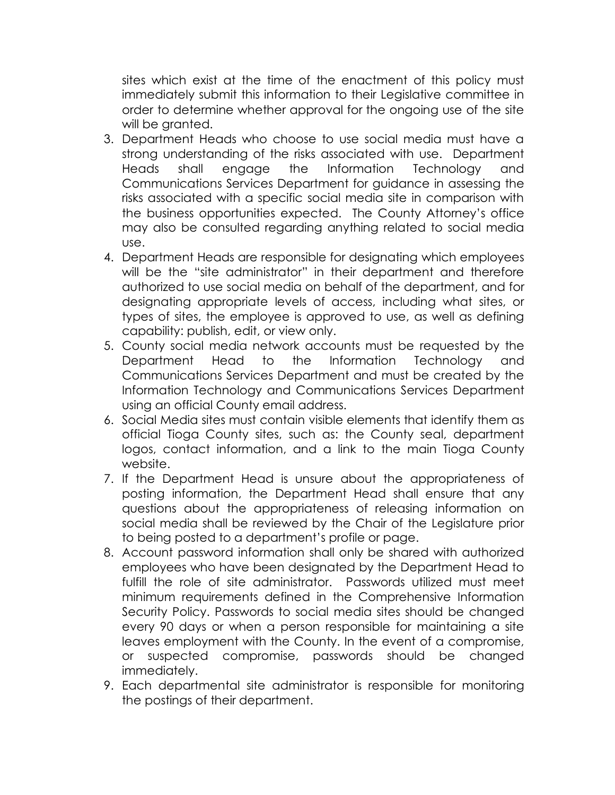sites which exist at the time of the enactment of this policy must immediately submit this information to their Legislative committee in order to determine whether approval for the ongoing use of the site will be granted.

- 3. Department Heads who choose to use social media must have a strong understanding of the risks associated with use. Department Heads shall engage the Information Technology and Communications Services Department for guidance in assessing the risks associated with a specific social media site in comparison with the business opportunities expected. The County Attorney's office may also be consulted regarding anything related to social media use.
- 4. Department Heads are responsible for designating which employees will be the "site administrator" in their department and therefore authorized to use social media on behalf of the department, and for designating appropriate levels of access, including what sites, or types of sites, the employee is approved to use, as well as defining capability: publish, edit, or view only.
- 5. County social media network accounts must be requested by the Department Head to the Information Technology and Communications Services Department and must be created by the Information Technology and Communications Services Department using an official County email address.
- 6. Social Media sites must contain visible elements that identify them as official Tioga County sites, such as: the County seal, department logos, contact information, and a link to the main Tioga County website.
- 7. If the Department Head is unsure about the appropriateness of posting information, the Department Head shall ensure that any questions about the appropriateness of releasing information on social media shall be reviewed by the Chair of the Legislature prior to being posted to a department's profile or page.
- 8. Account password information shall only be shared with authorized employees who have been designated by the Department Head to fulfill the role of site administrator. Passwords utilized must meet minimum requirements defined in the Comprehensive Information Security Policy. Passwords to social media sites should be changed every 90 days or when a person responsible for maintaining a site leaves employment with the County. In the event of a compromise, or suspected compromise, passwords should be changed immediately.
- 9. Each departmental site administrator is responsible for monitoring the postings of their department.